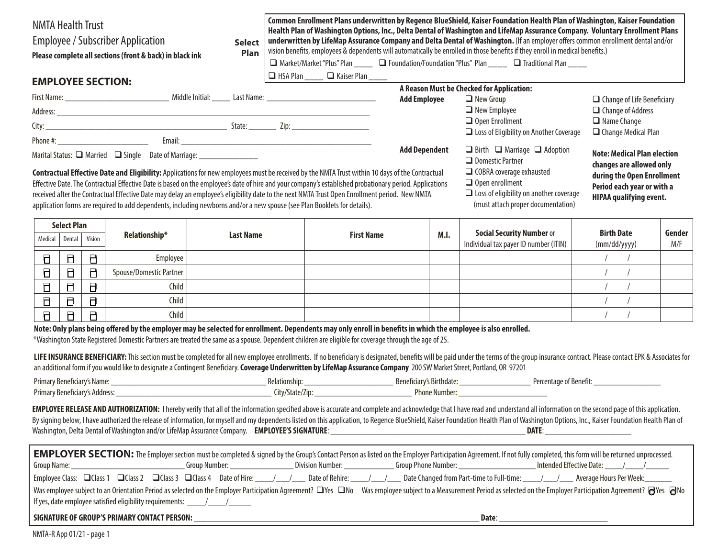| <b>NMTA Health Trust</b><br><b>Employee / Subscriber Application</b><br><b>Select</b><br>Plan<br>Please complete all sections (front & back) in black ink                                                                                                                                                                                                                                                                                  |                                        |        |                                                                                                                                                                         |                  |                                                |                                                                                                                                                         |                                                                                                 |                                         | Common Enrollment Plans underwritten by Regence BlueShield, Kaiser Foundation Health Plan of Washington, Kaiser Foundation<br>Health Plan of Washington Options, Inc., Delta Dental of Washington and LifeMap Assurance Company. Voluntary Enrollment Plans<br>underwritten by LifeMap Assurance Company and Delta Dental of Washington. (If an employer offers common enrollment dental and/or<br>vision benefits, employees & dependents will automatically be enrolled in those benefits if they enroll in medical benefits.)<br>□ Market/Market "Plus" Plan ____ □ Foundation/Foundation "Plus" Plan ____ □ Traditional Plan ____ |                                                               |                                                          |        |  |
|--------------------------------------------------------------------------------------------------------------------------------------------------------------------------------------------------------------------------------------------------------------------------------------------------------------------------------------------------------------------------------------------------------------------------------------------|----------------------------------------|--------|-------------------------------------------------------------------------------------------------------------------------------------------------------------------------|------------------|------------------------------------------------|---------------------------------------------------------------------------------------------------------------------------------------------------------|-------------------------------------------------------------------------------------------------|-----------------------------------------|---------------------------------------------------------------------------------------------------------------------------------------------------------------------------------------------------------------------------------------------------------------------------------------------------------------------------------------------------------------------------------------------------------------------------------------------------------------------------------------------------------------------------------------------------------------------------------------------------------------------------------------|---------------------------------------------------------------|----------------------------------------------------------|--------|--|
| <b>EMPLOYEE SECTION:</b>                                                                                                                                                                                                                                                                                                                                                                                                                   |                                        |        |                                                                                                                                                                         |                  |                                                | $\Box$ HSA Plan _____ $\Box$ Kaiser Plan _____                                                                                                          |                                                                                                 |                                         |                                                                                                                                                                                                                                                                                                                                                                                                                                                                                                                                                                                                                                       |                                                               |                                                          |        |  |
|                                                                                                                                                                                                                                                                                                                                                                                                                                            |                                        |        |                                                                                                                                                                         |                  |                                                |                                                                                                                                                         |                                                                                                 |                                         | A Reason Must be Checked for Application:                                                                                                                                                                                                                                                                                                                                                                                                                                                                                                                                                                                             |                                                               |                                                          |        |  |
|                                                                                                                                                                                                                                                                                                                                                                                                                                            |                                        |        |                                                                                                                                                                         |                  |                                                | <b>Add Employee</b>                                                                                                                                     |                                                                                                 | $\Box$ New Group<br>$\Box$ New Employee |                                                                                                                                                                                                                                                                                                                                                                                                                                                                                                                                                                                                                                       | $\Box$ Change of Life Beneficiary<br>$\Box$ Change of Address |                                                          |        |  |
|                                                                                                                                                                                                                                                                                                                                                                                                                                            |                                        |        |                                                                                                                                                                         |                  |                                                |                                                                                                                                                         |                                                                                                 | $\Box$ Open Enrollment                  |                                                                                                                                                                                                                                                                                                                                                                                                                                                                                                                                                                                                                                       | $\Box$ Name Change                                            |                                                          |        |  |
|                                                                                                                                                                                                                                                                                                                                                                                                                                            |                                        |        |                                                                                                                                                                         |                  | $\Box$ Loss of Eligibility on Another Coverage |                                                                                                                                                         |                                                                                                 |                                         | $\Box$ Change Medical Plan                                                                                                                                                                                                                                                                                                                                                                                                                                                                                                                                                                                                            |                                                               |                                                          |        |  |
|                                                                                                                                                                                                                                                                                                                                                                                                                                            |                                        |        |                                                                                                                                                                         |                  |                                                |                                                                                                                                                         |                                                                                                 |                                         |                                                                                                                                                                                                                                                                                                                                                                                                                                                                                                                                                                                                                                       |                                                               |                                                          |        |  |
|                                                                                                                                                                                                                                                                                                                                                                                                                                            |                                        |        | Marital Status: ■ Married ■ Single Date of Marriage: ________________                                                                                                   |                  |                                                |                                                                                                                                                         | <b>Add Dependent</b><br>$\Box$ Birth $\Box$ Marriage $\Box$ Adoption<br>$\Box$ Domestic Partner |                                         |                                                                                                                                                                                                                                                                                                                                                                                                                                                                                                                                                                                                                                       | <b>Note: Medical Plan election</b>                            |                                                          |        |  |
|                                                                                                                                                                                                                                                                                                                                                                                                                                            |                                        |        |                                                                                                                                                                         |                  |                                                | Contractual Effective Date and Eligibility: Applications for new employees must be received by the NMTA Trust within 10 days of the Contractual         |                                                                                                 |                                         | □ COBRA coverage exhausted                                                                                                                                                                                                                                                                                                                                                                                                                                                                                                                                                                                                            |                                                               | changes are allowed only                                 |        |  |
|                                                                                                                                                                                                                                                                                                                                                                                                                                            |                                        |        |                                                                                                                                                                         |                  |                                                | Effective Date. The Contractual Effective Date is based on the employee's date of hire and your company's established probationary period. Applications |                                                                                                 |                                         | $\Box$ Open enrollment                                                                                                                                                                                                                                                                                                                                                                                                                                                                                                                                                                                                                |                                                               | during the Open Enrollment<br>Period each year or with a |        |  |
|                                                                                                                                                                                                                                                                                                                                                                                                                                            |                                        |        |                                                                                                                                                                         |                  |                                                | received after the Contractual Effective Date may delay an employee's eligibility date to the next NMTA Trust Open Enrollment period. New NMTA          |                                                                                                 |                                         | $\Box$ Loss of eligibility on another coverage<br><b>HIPAA qualifying event.</b>                                                                                                                                                                                                                                                                                                                                                                                                                                                                                                                                                      |                                                               |                                                          |        |  |
|                                                                                                                                                                                                                                                                                                                                                                                                                                            |                                        |        | application forms are required to add dependents, including newborns and/or a new spouse (see Plan Booklets for details).                                               |                  |                                                |                                                                                                                                                         |                                                                                                 |                                         | (must attach proper documentation)                                                                                                                                                                                                                                                                                                                                                                                                                                                                                                                                                                                                    |                                                               |                                                          |        |  |
|                                                                                                                                                                                                                                                                                                                                                                                                                                            |                                        |        |                                                                                                                                                                         |                  |                                                |                                                                                                                                                         |                                                                                                 |                                         |                                                                                                                                                                                                                                                                                                                                                                                                                                                                                                                                                                                                                                       |                                                               |                                                          |        |  |
| Medical                                                                                                                                                                                                                                                                                                                                                                                                                                    | <b>Select Plan</b><br>Vision<br>Dental |        | Relationship*                                                                                                                                                           | <b>Last Name</b> | <b>First Name</b>                              |                                                                                                                                                         | M.I.                                                                                            |                                         | <b>Social Security Number or</b>                                                                                                                                                                                                                                                                                                                                                                                                                                                                                                                                                                                                      | <b>Birth Date</b>                                             |                                                          | Gender |  |
|                                                                                                                                                                                                                                                                                                                                                                                                                                            |                                        |        |                                                                                                                                                                         |                  |                                                |                                                                                                                                                         |                                                                                                 |                                         | Individual tax payer ID number (ITIN)                                                                                                                                                                                                                                                                                                                                                                                                                                                                                                                                                                                                 |                                                               | (mm/dd/yyyy)                                             | M/F    |  |
| 日                                                                                                                                                                                                                                                                                                                                                                                                                                          | $\Box$                                 | В.     | Employee                                                                                                                                                                |                  |                                                |                                                                                                                                                         |                                                                                                 |                                         |                                                                                                                                                                                                                                                                                                                                                                                                                                                                                                                                                                                                                                       |                                                               | $\sqrt{ }$                                               |        |  |
| 0                                                                                                                                                                                                                                                                                                                                                                                                                                          | 日                                      | $\Box$ | Spouse/Domestic Partner                                                                                                                                                 |                  |                                                |                                                                                                                                                         |                                                                                                 |                                         |                                                                                                                                                                                                                                                                                                                                                                                                                                                                                                                                                                                                                                       | $\sqrt{2}$                                                    | $\sqrt{ }$                                               |        |  |
| Δ                                                                                                                                                                                                                                                                                                                                                                                                                                          | Ы                                      | $\Box$ | Child                                                                                                                                                                   |                  |                                                |                                                                                                                                                         |                                                                                                 |                                         |                                                                                                                                                                                                                                                                                                                                                                                                                                                                                                                                                                                                                                       | $\sqrt{ }$                                                    |                                                          |        |  |
| 6                                                                                                                                                                                                                                                                                                                                                                                                                                          | В                                      | $\Box$ | Child                                                                                                                                                                   |                  |                                                |                                                                                                                                                         |                                                                                                 |                                         |                                                                                                                                                                                                                                                                                                                                                                                                                                                                                                                                                                                                                                       | $\sqrt{ }$                                                    | $\sqrt{ }$                                               |        |  |
| 日                                                                                                                                                                                                                                                                                                                                                                                                                                          | $\Box$                                 | $\Box$ | Child                                                                                                                                                                   |                  |                                                |                                                                                                                                                         |                                                                                                 |                                         |                                                                                                                                                                                                                                                                                                                                                                                                                                                                                                                                                                                                                                       | $\sqrt{ }$                                                    |                                                          |        |  |
|                                                                                                                                                                                                                                                                                                                                                                                                                                            |                                        |        | Note: Only plans being offered by the employer may be selected for enrollment. Dependents may only enroll in benefits in which the employee is also enrolled.           |                  |                                                |                                                                                                                                                         |                                                                                                 |                                         |                                                                                                                                                                                                                                                                                                                                                                                                                                                                                                                                                                                                                                       |                                                               |                                                          |        |  |
|                                                                                                                                                                                                                                                                                                                                                                                                                                            |                                        |        | *Washington State Registered Domestic Partners are treated the same as a spouse. Dependent children are eligible for coverage through the age of 25.                    |                  |                                                |                                                                                                                                                         |                                                                                                 |                                         |                                                                                                                                                                                                                                                                                                                                                                                                                                                                                                                                                                                                                                       |                                                               |                                                          |        |  |
|                                                                                                                                                                                                                                                                                                                                                                                                                                            |                                        |        | an additional form if you would like to designate a Contingent Beneficiary. Coverage Underwritten by LifeMap Assurance Company 200 SW Market Street, Portland, OR 97201 |                  |                                                |                                                                                                                                                         |                                                                                                 |                                         | LIFE INSURANCE BENEFICIARY: This section must be completed for all new employee enrollments. If no beneficiary is designated, benefits will be paid under the terms of the group insurance contract. Please contact EPK & Asso                                                                                                                                                                                                                                                                                                                                                                                                        |                                                               |                                                          |        |  |
|                                                                                                                                                                                                                                                                                                                                                                                                                                            |                                        |        |                                                                                                                                                                         |                  |                                                |                                                                                                                                                         |                                                                                                 |                                         |                                                                                                                                                                                                                                                                                                                                                                                                                                                                                                                                                                                                                                       |                                                               |                                                          |        |  |
|                                                                                                                                                                                                                                                                                                                                                                                                                                            |                                        |        |                                                                                                                                                                         |                  |                                                |                                                                                                                                                         |                                                                                                 |                                         |                                                                                                                                                                                                                                                                                                                                                                                                                                                                                                                                                                                                                                       |                                                               |                                                          |        |  |
|                                                                                                                                                                                                                                                                                                                                                                                                                                            |                                        |        |                                                                                                                                                                         |                  |                                                |                                                                                                                                                         |                                                                                                 |                                         | EMPLOYEE RELEASE AND AUTHORIZATION: I hereby verify that all of the information specified above is accurate and complete and acknowledge that I have read and understand all information on the second page of this applicatio                                                                                                                                                                                                                                                                                                                                                                                                        |                                                               |                                                          |        |  |
|                                                                                                                                                                                                                                                                                                                                                                                                                                            |                                        |        |                                                                                                                                                                         |                  |                                                |                                                                                                                                                         |                                                                                                 |                                         | By signing below, I have authorized the release of information, for myself and my dependents listed on this application, to Regence BlueShield, Kaiser Foundation Health Plan of Washington Options, Inc., Kaiser Foundation H                                                                                                                                                                                                                                                                                                                                                                                                        |                                                               |                                                          |        |  |
|                                                                                                                                                                                                                                                                                                                                                                                                                                            |                                        |        |                                                                                                                                                                         |                  |                                                |                                                                                                                                                         |                                                                                                 |                                         |                                                                                                                                                                                                                                                                                                                                                                                                                                                                                                                                                                                                                                       |                                                               |                                                          |        |  |
|                                                                                                                                                                                                                                                                                                                                                                                                                                            |                                        |        |                                                                                                                                                                         |                  |                                                |                                                                                                                                                         |                                                                                                 |                                         |                                                                                                                                                                                                                                                                                                                                                                                                                                                                                                                                                                                                                                       |                                                               |                                                          |        |  |
|                                                                                                                                                                                                                                                                                                                                                                                                                                            |                                        |        |                                                                                                                                                                         |                  |                                                |                                                                                                                                                         |                                                                                                 |                                         | EMPLOYER SECTION: The Employer section must be completed & signed by the Group's Contact Person as listed on the Employer Participation Agreement. If not fully completed, this form will be returned unprocessed.                                                                                                                                                                                                                                                                                                                                                                                                                    |                                                               |                                                          |        |  |
|                                                                                                                                                                                                                                                                                                                                                                                                                                            |                                        |        |                                                                                                                                                                         |                  |                                                |                                                                                                                                                         |                                                                                                 |                                         |                                                                                                                                                                                                                                                                                                                                                                                                                                                                                                                                                                                                                                       |                                                               |                                                          |        |  |
| Employee Class:     Class 1 Class 2 Class 3 Class 4 Date of Hire: 11 mate of Here 10 Date of Rehire: 11 Date of Rehire: 11 Date Changed from Part-time to Full-time: 11 Merage Hours Per Week:<br>Was employee subject to an Orientation Period as selected on the Employer Participation Agreement? $\Box$ Yes $\Box$ No Was employee subject to a Measurement Period as selected on the Employer Participation Agreement? $\bigcirc$ Yes |                                        |        |                                                                                                                                                                         |                  |                                                |                                                                                                                                                         |                                                                                                 |                                         |                                                                                                                                                                                                                                                                                                                                                                                                                                                                                                                                                                                                                                       |                                                               |                                                          |        |  |
|                                                                                                                                                                                                                                                                                                                                                                                                                                            |                                        |        | If yes, date employee satisfied eligibility requirements: ____/___/______/______                                                                                        |                  |                                                |                                                                                                                                                         |                                                                                                 |                                         |                                                                                                                                                                                                                                                                                                                                                                                                                                                                                                                                                                                                                                       |                                                               |                                                          |        |  |
|                                                                                                                                                                                                                                                                                                                                                                                                                                            |                                        |        |                                                                                                                                                                         |                  |                                                |                                                                                                                                                         |                                                                                                 |                                         |                                                                                                                                                                                                                                                                                                                                                                                                                                                                                                                                                                                                                                       |                                                               |                                                          |        |  |
|                                                                                                                                                                                                                                                                                                                                                                                                                                            |                                        |        | SIGNATURE OF GROUP'S PRIMARY CONTACT PERSON:                                                                                                                            |                  |                                                |                                                                                                                                                         |                                                                                                 |                                         | Date:                                                                                                                                                                                                                                                                                                                                                                                                                                                                                                                                                                                                                                 |                                                               |                                                          |        |  |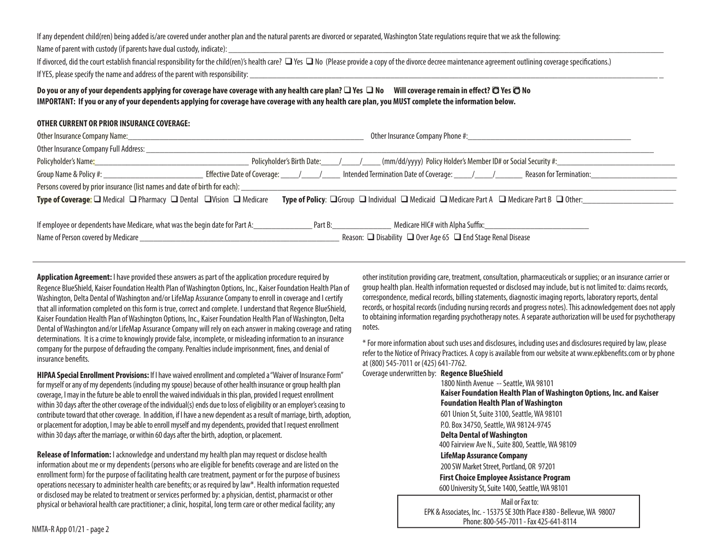If any dependent child(ren) being added is/are covered under another plan and the natural parents are divorced or separated, Washington State regulations require that we ask the following:

Name of parent with custody (if parents have dual custody, indicate):

If divorced, did the court establish financial responsibility for the child(ren)'s health care?  $\Box$  Yes  $\Box$  No (Please provide a copy of the divorce decree maintenance agreement outlining coverage specifications.) If YES, please specify the name and address of the parent with responsibility:

### **Do you or any of your dependents applying for coverage have coverage with any health care plan? □ Yes □ No** Will coverage remain in effect? □ Yes □ No **IMPORTANT: If you or any of your dependents applying for coverage have coverage with any health care plan, you MUST complete the information below.**

#### **OTHER CURRENT OR PRIOR INSURANCE COVERAGE:**

| Other Insurance Company Full Address: _________                                                                                                                                                                                                         |                                                                                                                                                                                                                                |  |  |  |  |  |  |
|---------------------------------------------------------------------------------------------------------------------------------------------------------------------------------------------------------------------------------------------------------|--------------------------------------------------------------------------------------------------------------------------------------------------------------------------------------------------------------------------------|--|--|--|--|--|--|
|                                                                                                                                                                                                                                                         | Policyholder's Name: 1993 Mame: 1994 Mame: 2008 Mame: 2008 Mame: 2008 Mame: 2008 Mame: 2009 Mame: 2009 Mame: 2009 Mame: 2009 Mame: 2009 Mame: 2009 Mame: 2009 Mame: 2009 Mame: 2009 Mame: 2009 Mame: 2009 Mame: 2009 Mame: 200 |  |  |  |  |  |  |
|                                                                                                                                                                                                                                                         |                                                                                                                                                                                                                                |  |  |  |  |  |  |
| Persons covered by prior insurance (list names and date of birth for each): _______________________                                                                                                                                                     |                                                                                                                                                                                                                                |  |  |  |  |  |  |
| <b>Type of Coverage:</b> $\square$ Medical $\square$ Pharmacy $\square$ Dental $\square$ Vision $\square$ Medicare<br><b>Type of Policy:</b> $\Box$ Group $\Box$ Individual $\Box$ Medicaid $\Box$ Medicare Part A $\Box$ Medicare Part B $\Box$ Other: |                                                                                                                                                                                                                                |  |  |  |  |  |  |
|                                                                                                                                                                                                                                                         |                                                                                                                                                                                                                                |  |  |  |  |  |  |
| If employee or dependents have Medicare, what was the begin date for Part A: _______________                                                                                                                                                            | Part B:<br>Medicare HIC# with Alpha Suffix: Medicare Museum Alpha Suffix:                                                                                                                                                      |  |  |  |  |  |  |
|                                                                                                                                                                                                                                                         | Reason: □ Disability □ Over Age 65 □ End Stage Renal Disease                                                                                                                                                                   |  |  |  |  |  |  |

**Application Agreement:** I have provided these answers as part of the application procedure required by Regence BlueShield, Kaiser Foundation Health Plan of Washington Options, Inc., Kaiser Foundation Health Plan of Washington, Delta Dental of Washington and/or LifeMap Assurance Company to enroll in coverage and I certify that all information completed on this form is true, correct and complete. I understand that Regence BlueShield, Kaiser Foundation Health Plan of Washington Options, Inc., Kaiser Foundation Health Plan of Washington, Delta Dental of Washington and/or LifeMap Assurance Company will rely on each answer in making coverage and rating determinations. It is a crime to knowingly provide false, incomplete, or misleading information to an insurance company for the purpose of defrauding the company. Penalties include imprisonment, fines, and denial of insurance benefits.

**HIPAA Special Enrollment Provisions:** If I have waived enrollment and completed a "Waiver of Insurance Form" for myself or any of my dependents (including my spouse) because of other health insurance or group health plan coverage, I may in the future be able to enroll the waived individuals in this plan, provided I request enrollment within 30 days after the other coverage of the individual(s) ends due to loss of eligibility or an employer's ceasing to contribute toward that other coverage. In addition, if I have a new dependent as a result of marriage, birth, adoption, or placement for adoption, I may be able to enroll myself and my dependents, provided that I request enrollment within 30 days after the marriage, or within 60 days after the birth, adoption, or placement.

**Release of Information:** I acknowledge and understand my health plan may request or disclose health information about me or my dependents (persons who are eligible for benefits coverage and are listed on the enrollment form) for the purpose of facilitating health care treatment, payment or for the purpose of business operations necessary to administer health care benefits; or as required by law\*. Health information requested or disclosed may be related to treatment or services performed by: a physician, dentist, pharmacist or other physical or behavioral health care practitioner; a clinic, hospital, long term care or other medical facility; any

other institution providing care, treatment, consultation, pharmaceuticals or supplies; or an insurance carrier or group health plan. Health information requested or disclosed may include, but is not limited to: claims records, correspondence, medical records, billing statements, diagnostic imaging reports, laboratory reports, dental records, or hospital records (including nursing records and progress notes). This acknowledgement does not apply to obtaining information regarding psychotherapy notes. A separate authorization will be used for psychotherapy notes.

\* For more information about such uses and disclosures, including uses and disclosures required by law, please refer to the Notice of Privacy Practices. A copy is available from our website at www.epkbenefits.com or by phone at (800) 545-7011 or (425) 641-7762.

#### Coverage underwritten by: **Regence BlueShield**

 1800 Ninth Avenue -- Seattle, WA 98101  **Kaiser Foundation Health Plan of Washington Options, Inc. and Kaiser Foundation Health Plan of Washington** 601 Union St, Suite 3100, Seattle, WA 98101 P.O. Box 34750, Seattle, WA 98124-9745  **Delta Dental of Washington** 400 Fairview Ave N., Suite 800, Seattle, WA 98109 **LifeMap Assurance Company** 200 SW Market Street, Portland, OR 97201  **First Choice Employee Assistance Program** 600 University St, Suite 1400, Seattle, WA 98101

Mailor Fax to:EPK & Associates, Inc. - 15375 SE 30th Place #380 - Bellevue, WA 98007 Phone: 800-545-7011 - Fax 425-641-8114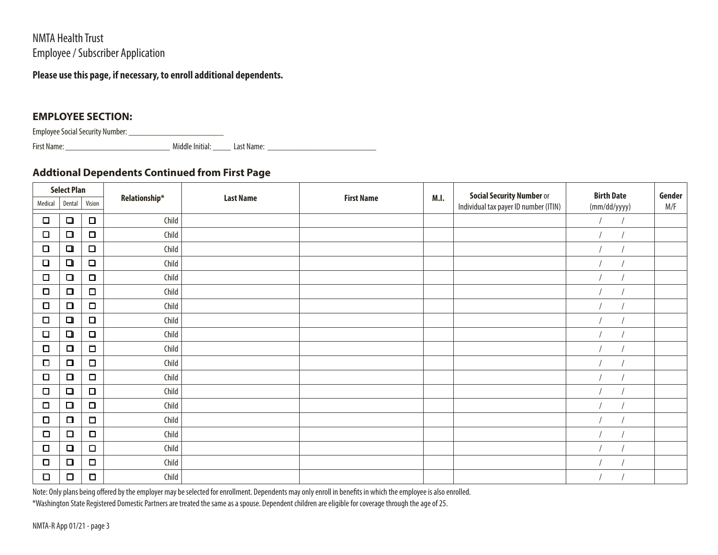NMTA Health Trust Employee / Subscriber Application

## **Please use this page, if necessary, to enroll additional dependents.**

## **EMPLOYEE SECTION:**

Employee Social Security Number: \_\_\_\_\_\_\_\_\_\_\_\_\_\_\_\_\_\_\_\_\_

First Name:\_\_\_\_\_\_\_\_\_\_\_\_\_\_\_\_\_\_\_\_\_\_\_ Middle Initial: \_\_\_\_ Last Name: \_\_\_\_\_\_\_\_\_\_\_\_\_\_\_\_\_\_\_\_\_\_\_\_

# **Addtional Dependents Continued from First Page**

| <b>Select Plan</b> |        |        |               |                  |                   |      | <b>Social Security Number or</b>      | <b>Birth Date</b> | Gender |
|--------------------|--------|--------|---------------|------------------|-------------------|------|---------------------------------------|-------------------|--------|
| Medical            | Dental | Vision | Relationship* | <b>Last Name</b> | <b>First Name</b> | M.I. | Individual tax payer ID number (ITIN) | (mm/dd/yyyy)      | M/F    |
| $\Box$             | $\Box$ | $\Box$ | Child         |                  |                   |      |                                       |                   |        |
| $\Box$             | $\Box$ | $\Box$ | Child         |                  |                   |      |                                       |                   |        |
| $\Box$             | $\Box$ | $\Box$ | Child         |                  |                   |      |                                       |                   |        |
| $\Box$             | $\Box$ | $\Box$ | Child         |                  |                   |      |                                       |                   |        |
| $\Box$             | $\Box$ | $\Box$ | Child         |                  |                   |      |                                       |                   |        |
| □                  | $\Box$ | $\Box$ | Child         |                  |                   |      |                                       |                   |        |
| Ο                  | $\Box$ | $\Box$ | Child         |                  |                   |      |                                       |                   |        |
| О                  | $\Box$ | $\Box$ | Child         |                  |                   |      |                                       |                   |        |
| $\Box$             | $\Box$ | $\Box$ | Child         |                  |                   |      |                                       |                   |        |
| □                  | $\Box$ | $\Box$ | Child         |                  |                   |      |                                       |                   |        |
| $\Box$             | $\Box$ | $\Box$ | Child         |                  |                   |      |                                       |                   |        |
| О                  | $\Box$ | $\Box$ | Child         |                  |                   |      |                                       |                   |        |
| $\Box$             | $\Box$ | $\Box$ | Child         |                  |                   |      |                                       |                   |        |
| $\Box$             | $\Box$ | $\Box$ | Child         |                  |                   |      |                                       |                   |        |
| $\Box$             | $\Box$ | $\Box$ | Child         |                  |                   |      |                                       |                   |        |
| О                  | $\Box$ | $\Box$ | Child         |                  |                   |      |                                       |                   |        |
| $\Box$             | $\Box$ | $\Box$ | Child         |                  |                   |      |                                       |                   |        |
| $\Box$             | $\Box$ | $\Box$ | Child         |                  |                   |      |                                       |                   |        |
| О                  | $\Box$ | $\Box$ | Child         |                  |                   |      |                                       |                   |        |

Note: Only plans being offered by the employer may be selected for enrollment. Dependents may only enroll in benefits in which the employee is also enrolled.

\*Washington State Registered Domestic Partners are treated the same as a spouse. Dependent children are eligible for coverage through the age of 25.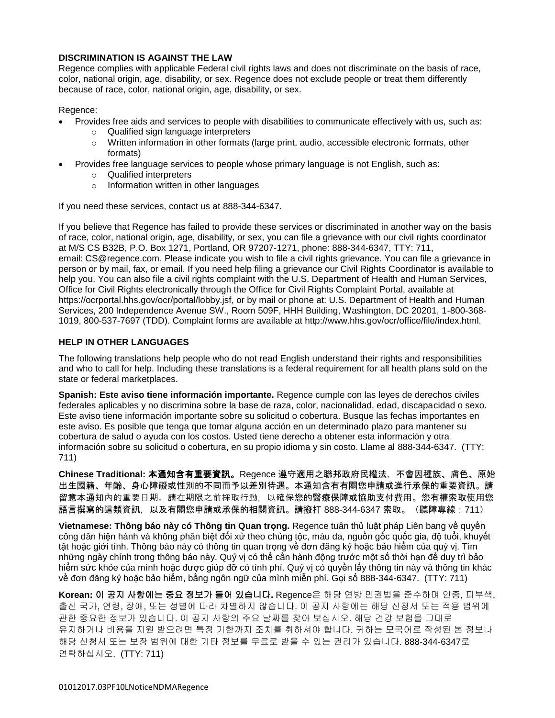### **DISCRIMINATION IS AGAINST THE LAW**

Regence complies with applicable Federal civil rights laws and does not discriminate on the basis of race, color, national origin, age, disability, or sex. Regence does not exclude people or treat them differently because of race, color, national origin, age, disability, or sex.

Regence:

- Provides free aids and services to people with disabilities to communicate effectively with us, such as:
	- o Qualified sign language interpreters
	- $\circ$  Written information in other formats (large print, audio, accessible electronic formats, other formats)
- Provides free language services to people whose primary language is not English, such as:
	- o Qualified interpreters
	- o Information written in other languages

If you need these services, contact us at 888-344-6347.

If you believe that Regence has failed to provide these services or discriminated in another way on the basis of race, color, national origin, age, disability, or sex, you can file a grievance with our civil rights coordinator at M/S CS B32B, P.O. Box 1271, Portland, OR 97207-1271, phone: 888-344-6347, TTY: 711, email: CS@regence.com. Please indicate you wish to file a civil rights grievance. You can file a grievance in person or by mail, fax, or email. If you need help filing a grievance our Civil Rights Coordinator is available to help you. You can also file a civil rights complaint with the U.S. Department of Health and Human Services, Office for Civil Rights electronically through the Office for Civil Rights Complaint Portal, available at https://ocrportal.hhs.gov/ocr/portal/lobby.jsf, or by mail or phone at: U.S. Department of Health and Human Services, 200 Independence Avenue SW., Room 509F, HHH Building, Washington, DC 20201, 1-800-368- 1019, 800-537-7697 (TDD). Complaint forms are available at http://www.hhs.gov/ocr/office/file/index.html.

### **HELP IN OTHER LANGUAGES**

The following translations help people who do not read English understand their rights and responsibilities and who to call for help. Including these translations is a federal requirement for all health plans sold on the state or federal marketplaces.

**Spanish: Este aviso tiene información importante.** Regence cumple con las leyes de derechos civiles federales aplicables y no discrimina sobre la base de raza, color, nacionalidad, edad, discapacidad o sexo. Este aviso tiene información importante sobre su solicitud o cobertura. Busque las fechas importantes en este aviso. Es posible que tenga que tomar alguna acción en un determinado plazo para mantener su cobertura de salud o ayuda con los costos. Usted tiene derecho a obtener esta información y otra información sobre su solicitud o cobertura, en su propio idioma y sin costo. Llame al 888-344-6347. (TTY: 711)

**Chinese Traditional:** 本通知含有重要資訊。Regence 遵守適用之聯邦政府民權法,不會因種族、膚色、原始 出生國籍、年齡、身心障礙或性別的不同而予以差別待遇。本通知含有有關您申請或進行承保的重要資訊。請 留意本通知內的重要日期。請在期限之前採取行動,以確保您的醫療保障或協助支付費用。您有權索取使用您 語言撰寫的這類資訊,以及有關您申請或承保的相關資訊。請撥打 888-344-6347 索取。(聽障專線:711)

**Vietnamese: Thông báo này có Thông tin Quan trọng.** Regence tuân thủ luật pháp Liên bang về quyền công dân hiện hành và không phân biệt đối xử theo chủng tộc, màu da, nguồn gốc quốc gia, độ tuổi, khuyết tật hoặc giới tính. Thông báo này có thông tin quan trọng về đơn đăng ký hoặc bảo hiểm của quý vị. Tìm những ngày chính trong thông báo này. Quý vị có thể cần hành động trước một số thời hạn để duy trì bảo hiểm sức khỏe của mình hoặc được giúp đỡ có tính phí. Quý vị có quyền lấy thông tin này và thông tin khác về đơn đăng ký hoặc bảo hiểm, bằng ngôn ngữ của mình miễn phí. Gọi số 888-344-6347. (TTY: 711)

**Korean:** 이 공지 사항에는 중요 정보가 들어 있습니다**.** Regence은 해당 연방 민권법을 준수하며 인종, 피부색, 출신 국가, 연령, 장애, 또는 성별에 따라 차별하지 않습니다. 이 공지 사항에는 해당 신청서 또는 적용 범위에 관한 중요한 정보가 있습니다. 이 공지 사항의 주요 날짜를 찾아 보십시오. 해당 건강 보험을 그대로 유지하거나 비용을 지원 받으려면 특정 기한까지 조치를 취하셔야 합니다. 귀하는 모국어로 작성된 본 정보나 해당 신청서 또는 보장 범위에 대한 기타 정보를 무료로 받을 수 있는 권리가 있습니다. 888-344-6347로 연락하십시오. (TTY: 711)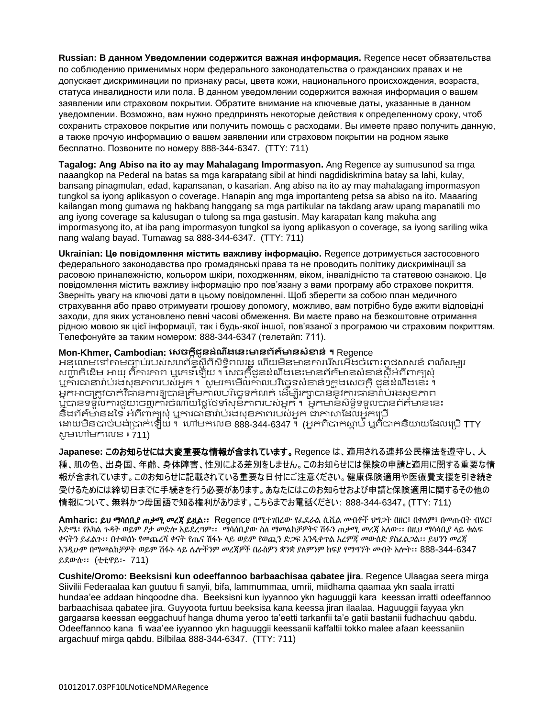**Russian: В данном Уведомлении содержится важная информация.** Regence несет обязательства по соблюдению применимых норм федерального законодательства о гражданских правах и не допускает дискриминации по признаку расы, цвета кожи, национального происхождения, возраста, статуса инвалидности или пола. В данном уведомлении содержится важная информация о вашем заявлении или страховом покрытии. Обратите внимание на ключевые даты, указанные в данном уведомлении. Возможно, вам нужно предпринять некоторые действия к определенному сроку, чтоб сохранить страховое покрытие или получить помощь с расходами. Вы имеете право получить данную, а также прочую информацию о вашем заявлении или страховом покрытии на родном языке бесплатно. Позвоните по номеру 888-344-6347. (TTY: 711)

**Tagalog: Ang Abiso na ito ay may Mahalagang Impormasyon.** Ang Regence ay sumusunod sa mga naaangkop na Pederal na batas sa mga karapatang sibil at hindi nagdidiskrimina batay sa lahi, kulay, bansang pinagmulan, edad, kapansanan, o kasarian. Ang abiso na ito ay may mahalagang impormasyon tungkol sa iyong aplikasyon o coverage. Hanapin ang mga importanteng petsa sa abiso na ito. Maaaring kailangan mong gumawa ng hakbang hanggang sa mga partikular na takdang araw upang mapanatili mo ang iyong coverage sa kalusugan o tulong sa mga gastusin. May karapatan kang makuha ang impormasyong ito, at iba pang impormasyon tungkol sa iyong aplikasyon o coverage, sa iyong sariling wika nang walang bayad. Tumawag sa 888-344-6347. (TTY: 711)

**Ukrainian: Це повідомлення містить важливу інформацію.** Regence дотримується застосовного федерального законодавства про громадянські права та не проводить політику дискримінації за расовою приналежністю, кольором шкіри, походженням, віком, інвалідністю та статевою ознакою. Це повідомлення містить важливу інформацію про пов'язану з вами програму або страхове покриття. Зверніть увагу на ключові дати в цьому повідомленні. Щоб зберегти за собою план медичного страхування або право отримувати грошову допомогу, можливо, вам потрібно буде вжити відповідні заходи, для яких установлено певні часові обмеження. Ви маєте право на безкоштовне отримання рідною мовою як цієї інформації, так і будь-якої іншої, пов'язаної з програмою чи страховим покриттям. Телефонуйте за таким номером: 888-344-6347 (телетайп: 711).

### **Mon-Khmer, Cambodian: សេចក្តីជូនដំណឹងសនេះមានព័ត៌មានេំខាន់ ។** Regence

អនុលោមទៅតាមច្បាប់របស់សហព័ន្ធស្តីពីសិទ្ធិពលរដ្ឋ ហើយមិនមានការរើសអើងចំពោះពូជសាសន៍ ពណ៌សម្បូរ សញ្ជាតិដើម អាយុ ពិការភាព ឬភេទឡើយ ។ លេច្ចក្ដីជូនដំណឹងនេះមានព័ត៌មានសំខាន់ស្ដីអំពីពាក្យសុំ ឬការធានារ៉ាប់រងសុខភាពរបស់អ្នក ។ សូមរកមើលកាលបរិច្ចេទសំខាន់ៗក្នុងសេចក្តី ដួនដំណឹងនេះ ។ អ្នកអាចត្រូវចាត់វិធានការឲ្យបានត្រឹមកាលបរិច្ឆេទកំណត់ ដើម្បីរក្សាបាននូវការធានារ៉ាប់រងសុខភាព ឬបានទទួលការជួយចេញការចំណាយថ្លៃថែទាំសុខភាពរបស់អ្នក ។ អ្នកមានសិទ្ធិទទួលបានព័ត៌មាននេះ និងព័ត៌មានដទៃ អំពីពាក្យសុំ ឬការធានារ៉ាប់រងសុខភាពរបស់អ្នក ជាភាសាដែលអ្នកប្រើ ដោយមិនបាច់បង់ប្រាក់ឡើយ ។ ហៅមកលេខ 888-344-6347 ។ (អ្នកពិបាកស្តាប់ ឬពិបាកនិយាយដែលប្រើ TTY សូមហៅមកលេខ ៖ 711)

**Japanese:** このお知らせには大変重要な情報が含まれています。Regence は、適用される連邦公民権法を遵守し、人 種、肌の色、出身国、年齢、身体障害、性別による差別をしません。このお知らせには保険の申請と適用に関する重要な情 報が含まれています。このお知らせに記載されている重要な日付にご注意ください。健康保険適用や医療費支援を引き続き 受けるためには締切日までに手続きを行う必要があります。あなたにはこのお知らせおよび申請と保険適用に関するその他の 情報について、無料かつ母国語で知る権利があります。こちらまでお電話ください: 888-344-6347。(TTY: 711)

**Amharic:** ይህ ማሳሰቢያ ጠቃሚ መረጃ ይዟል፡፡ Regence በሚተገበረው የፌደራል ሲቪል መብቶች ህግጋት በዘር፣ በቀለም፣ በመጡበት ብሄር፣ እድሜ፣ የአካል ጉዳት ወይም ፆታ መድሎ አይደረግም፡፡ ማሳሰቢያው ስለ ማመልከቻዎትና ሽፋን ጠቃሚ መረጃ አለው፡፡ በዚህ ማሳሳቢያ ላይ ቁልፍ ቀናትን ይፈልጉ፡፡ በተወሰኑ የመጨረሻ ቀናት የጤና ሽፋኑ ላይ ወይም የወጪን ድጋፍ እንዲቀጥል እረምጃ መውሰድ ያስፈልጋል፡፡ ይህንን መረጃ እንዲሁም በማመልከቻዎት ወይም ሽፋኑ ላይ ሌሎችንም መረጃዎች በራስዎን ቋንቋ ያለምንም ክፍያ የማግኘት መብት አሎት፡፡ 888-344-6347 ይደውሉ፡፡ (ቲቲዋይ፡- 711)

**Cushite/Oromo: Beeksisni kun odeeffannoo barbaachisaa qabatee jira**. Regence Ulaagaa seera mirga Siivilii Federaalaa kan guutuu fi sanyii, bifa, lammummaa, umrii, miidhama qaamaa ykn saala irratti hundaa'ee addaan hinqoodne dha. Beeksisni kun iyyannoo ykn haguuggii kara keessan irratti odeeffannoo barbaachisaa qabatee jira. Guyyoota furtuu beeksisa kana keessa jiran ilaalaa. Haguuggii fayyaa ykn gargaarsa keessan eeggachuuf hanga dhuma yeroo ta'eetti tarkanfii ta'e gatii bastanii fudhachuu qabdu. Odeeffannoo kana fi waa'ee iyyannoo ykn haguuggii keessanii kaffaltii tokko malee afaan keessaniin argachuuf mirga qabdu. Bilbilaa 888-344-6347. (TTY: 711)